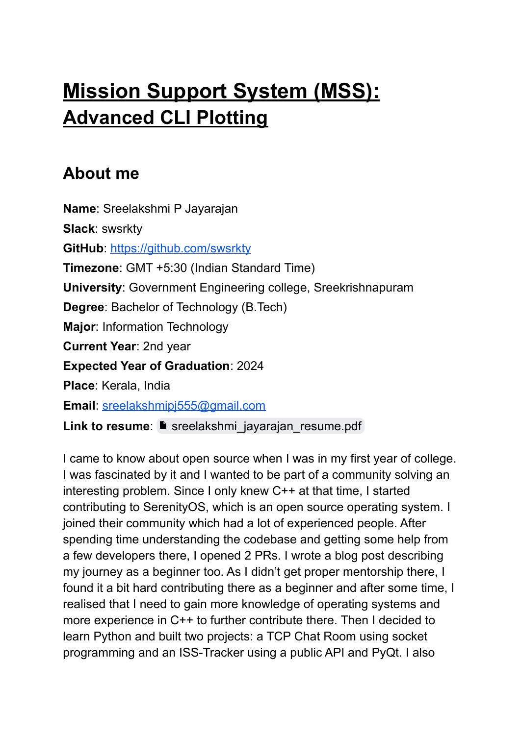# **Mission Support System (MSS): Advanced CLI Plotting**

### **About me**

**Name**: Sreelakshmi P Jayarajan **Slack**: swsrkty **GitHub: <https://github.com/swsrkty> Timezone**: GMT +5:30 (Indian Standard Time) **University**: Government Engineering college, Sreekrishnapuram **Degree**: Bachelor of Technology (B.Tech) **Major**: Information Technology **Current Year**: 2nd year **Expected Year of Graduation**: 2024 **Place**: Kerala, India **Email**: [sreelakshmipj555@gmail.com](mailto:sreelakshmipj555@gmail.com) Link to resume: **S** [sreelakshmi\\_jayarajan\\_resume.pdf](https://drive.google.com/file/d/1xgtMmLy_VpDzS8_gbCmS1dSxPaz7_uJn/view?usp=sharing)

I came to know about open source when I was in my first year of college. I was fascinated by it and I wanted to be part of a community solving an interesting problem. Since I only knew C++ at that time, I started contributing to SerenityOS, which is an open source operating system. I joined their community which had a lot of experienced people. After spending time understanding the codebase and getting some help from a few developers there, I opened 2 PRs. I wrote a blog post describing my journey as a beginner too. As I didn't get proper mentorship there, I found it a bit hard contributing there as a beginner and after some time, I realised that I need to gain more knowledge of operating systems and more experience in C++ to further contribute there. Then I decided to learn Python and built two projects: a TCP Chat Room using socket programming and an ISS-Tracker using a public API and PyQt. I also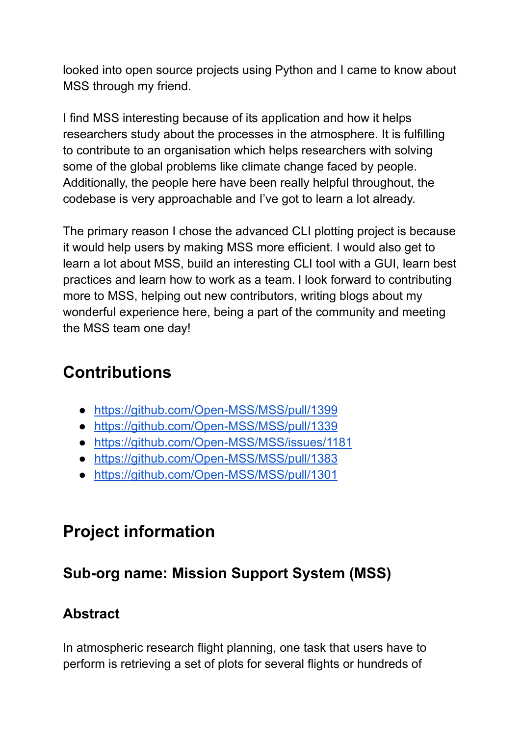looked into open source projects using Python and I came to know about MSS through my friend.

I find MSS interesting because of its application and how it helps researchers study about the processes in the atmosphere. It is fulfilling to contribute to an organisation which helps researchers with solving some of the global problems like climate change faced by people. Additionally, the people here have been really helpful throughout, the codebase is very approachable and I've got to learn a lot already.

The primary reason I chose the advanced CLI plotting project is because it would help users by making MSS more efficient. I would also get to learn a lot about MSS, build an interesting CLI tool with a GUI, learn best practices and learn how to work as a team. I look forward to contributing more to MSS, helping out new contributors, writing blogs about my wonderful experience here, being a part of the community and meeting the MSS team one day!

## **Contributions**

- <https://github.com/Open-MSS/MSS/pull/1399>
- <https://github.com/Open-MSS/MSS/pull/1339>
- <https://github.com/Open-MSS/MSS/issues/1181>
- <https://github.com/Open-MSS/MSS/pull/1383>
- <https://github.com/Open-MSS/MSS/pull/1301>

### **Project information**

### **Sub-org name: Mission Support System (MSS)**

### **Abstract**

In atmospheric research flight planning, one task that users have to perform is retrieving a set of plots for several flights or hundreds of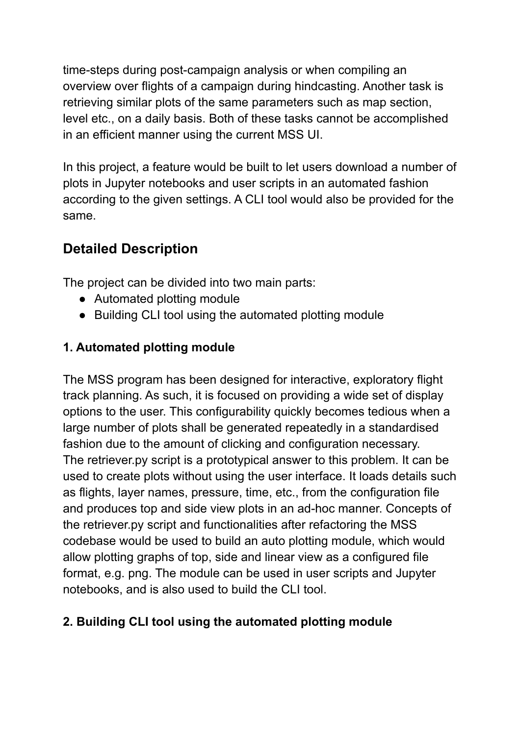time-steps during post-campaign analysis or when compiling an overview over flights of a campaign during hindcasting. Another task is retrieving similar plots of the same parameters such as map section, level etc., on a daily basis. Both of these tasks cannot be accomplished in an efficient manner using the current MSS UI.

In this project, a feature would be built to let users download a number of plots in Jupyter notebooks and user scripts in an automated fashion according to the given settings. A CLI tool would also be provided for the same.

### **Detailed Description**

The project can be divided into two main parts:

- Automated plotting module
- Building CLI tool using the automated plotting module

#### **1. Automated plotting module**

The MSS program has been designed for interactive, exploratory flight track planning. As such, it is focused on providing a wide set of display options to the user. This configurability quickly becomes tedious when a large number of plots shall be generated repeatedly in a standardised fashion due to the amount of clicking and configuration necessary. The retriever.py script is a prototypical answer to this problem. It can be used to create plots without using the user interface. It loads details such as flights, layer names, pressure, time, etc., from the configuration file and produces top and side view plots in an ad-hoc manner. Concepts of the retriever.py script and functionalities after refactoring the MSS codebase would be used to build an auto plotting module, which would allow plotting graphs of top, side and linear view as a configured file format, e.g. png. The module can be used in user scripts and Jupyter notebooks, and is also used to build the CLI tool.

#### **2. Building CLI tool using the automated plotting module**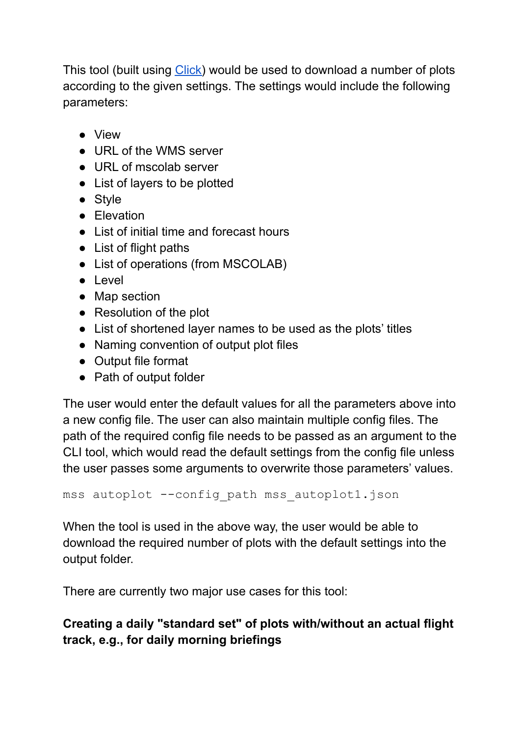This tool (built using [Click\)](https://click.palletsprojects.com) would be used to download a number of plots according to the given settings. The settings would include the following parameters:

- View
- URL of the WMS server
- URL of mscolab server
- List of layers to be plotted
- Style
- Elevation
- List of initial time and forecast hours
- List of flight paths
- List of operations (from MSCOLAB)
- Level
- Map section
- Resolution of the plot
- List of shortened layer names to be used as the plots' titles
- Naming convention of output plot files
- Output file format
- Path of output folder

The user would enter the default values for all the parameters above into a new config file. The user can also maintain multiple config files. The path of the required config file needs to be passed as an argument to the CLI tool, which would read the default settings from the config file unless the user passes some arguments to overwrite those parameters' values.

```
mss autoplot --config path mss autoplot1.json
```
When the tool is used in the above way, the user would be able to download the required number of plots with the default settings into the output folder.

There are currently two major use cases for this tool:

#### **Creating a daily "standard set" of plots with/without an actual flight track, e.g., for daily morning briefings**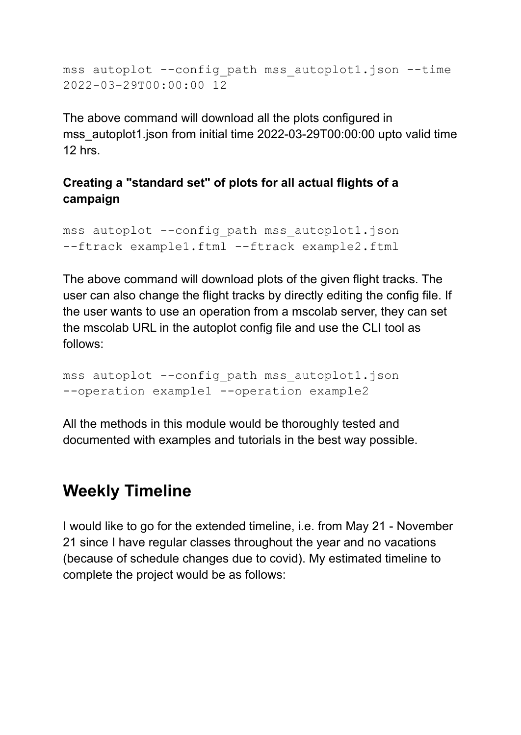mss autoplot --config path mss autoplot1.json --time 2022-03-29T00:00:00 12

The above command will download all the plots configured in mss\_autoplot1.json from initial time 2022-03-29T00:00:00 upto valid time  $12$  hrs.

#### **Creating a "standard set" of plots for all actual flights of a campaign**

```
mss autoplot --config path mss autoplot1.json
--ftrack example1.ftml --ftrack example2.ftml
```
The above command will download plots of the given flight tracks. The user can also change the flight tracks by directly editing the config file. If the user wants to use an operation from a mscolab server, they can set the mscolab URL in the autoplot config file and use the CLI tool as follows:

```
mss autoplot --config path mss autoplot1.json
--operation example1 --operation example2
```
All the methods in this module would be thoroughly tested and documented with examples and tutorials in the best way possible.

### **Weekly Timeline**

I would like to go for the extended timeline, i.e. from May 21 - November 21 since I have regular classes throughout the year and no vacations (because of schedule changes due to covid). My estimated timeline to complete the project would be as follows: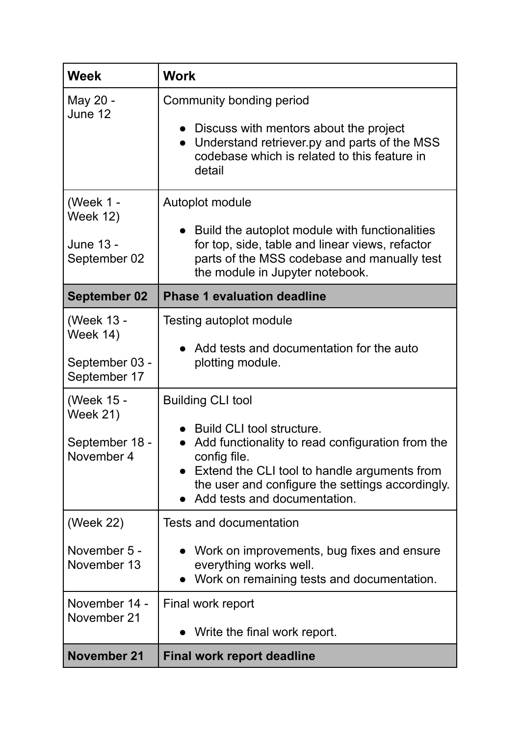| <b>Week</b>                                                                                                                      | <b>Work</b>                                                                                                                                                                                                                                                                                                                                                             |
|----------------------------------------------------------------------------------------------------------------------------------|-------------------------------------------------------------------------------------------------------------------------------------------------------------------------------------------------------------------------------------------------------------------------------------------------------------------------------------------------------------------------|
| May 20 -<br>June 12                                                                                                              | Community bonding period<br>• Discuss with mentors about the project<br>Understand retriever.py and parts of the MSS<br>codebase which is related to this feature in<br>detail                                                                                                                                                                                          |
| (Week 1 -<br><b>Week 12)</b><br>June 13 -<br>September 02                                                                        | Autoplot module<br>Build the autoplot module with functionalities<br>for top, side, table and linear views, refactor<br>parts of the MSS codebase and manually test<br>the module in Jupyter notebook.                                                                                                                                                                  |
| <b>September 02</b>                                                                                                              | <b>Phase 1 evaluation deadline</b>                                                                                                                                                                                                                                                                                                                                      |
| (Week 13 -<br><b>Week 14)</b><br>September 03 -<br>September 17<br>(Week 15 -<br><b>Week 21)</b><br>September 18 -<br>November 4 | Testing autoplot module<br>• Add tests and documentation for the auto<br>plotting module.<br><b>Building CLI tool</b><br>Build CLI tool structure.<br>Add functionality to read configuration from the<br>$\bullet$<br>config file.<br>Extend the CLI tool to handle arguments from<br>the user and configure the settings accordingly.<br>Add tests and documentation. |
| (Week 22)<br>November 5 -<br>November 13<br>November 14 -                                                                        | <b>Tests and documentation</b><br>Work on improvements, bug fixes and ensure<br>everything works well.<br>Work on remaining tests and documentation.<br>Final work report                                                                                                                                                                                               |
| November 21<br><b>November 21</b>                                                                                                | Write the final work report.<br><b>Final work report deadline</b>                                                                                                                                                                                                                                                                                                       |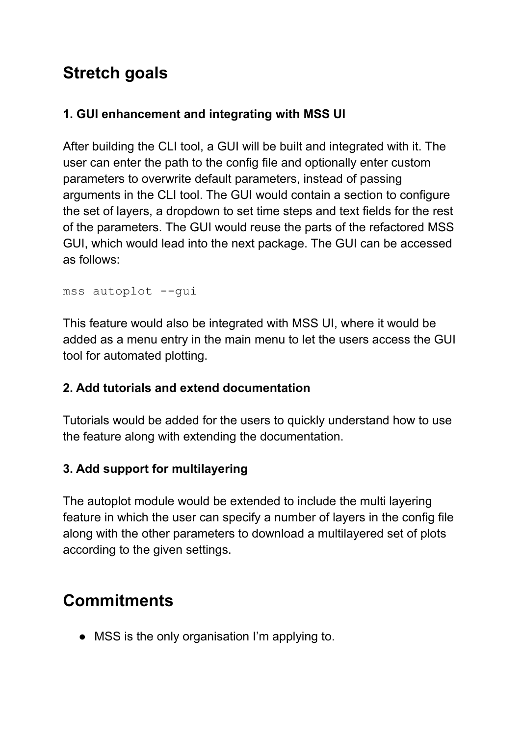# **Stretch goals**

#### **1. GUI enhancement and integrating with MSS UI**

After building the CLI tool, a GUI will be built and integrated with it. The user can enter the path to the config file and optionally enter custom parameters to overwrite default parameters, instead of passing arguments in the CLI tool. The GUI would contain a section to configure the set of layers, a dropdown to set time steps and text fields for the rest of the parameters. The GUI would reuse the parts of the refactored MSS GUI, which would lead into the next package. The GUI can be accessed as follows:

```
mss autoplot --gui
```
This feature would also be integrated with MSS UI, where it would be added as a menu entry in the main menu to let the users access the GUI tool for automated plotting.

#### **2. Add tutorials and extend documentation**

Tutorials would be added for the users to quickly understand how to use the feature along with extending the documentation.

#### **3. Add support for multilayering**

The autoplot module would be extended to include the multi layering feature in which the user can specify a number of layers in the config file along with the other parameters to download a multilayered set of plots according to the given settings.

# **Commitments**

• MSS is the only organisation I'm applying to.